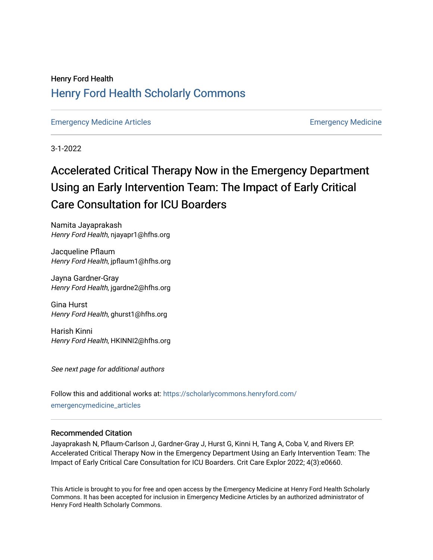# Henry Ford Health [Henry Ford Health Scholarly Commons](https://scholarlycommons.henryford.com/)

[Emergency Medicine Articles](https://scholarlycommons.henryford.com/emergencymedicine_articles) [Emergency Medicine](https://scholarlycommons.henryford.com/emergencymedicine) 

3-1-2022

# Accelerated Critical Therapy Now in the Emergency Department Using an Early Intervention Team: The Impact of Early Critical Care Consultation for ICU Boarders

Namita Jayaprakash Henry Ford Health, njayapr1@hfhs.org

Jacqueline Pflaum Henry Ford Health, jpflaum1@hfhs.org

Jayna Gardner-Gray Henry Ford Health, jgardne2@hfhs.org

Gina Hurst Henry Ford Health, ghurst1@hfhs.org

Harish Kinni Henry Ford Health, HKINNI2@hfhs.org

See next page for additional authors

Follow this and additional works at: [https://scholarlycommons.henryford.com/](https://scholarlycommons.henryford.com/emergencymedicine_articles?utm_source=scholarlycommons.henryford.com%2Femergencymedicine_articles%2F271&utm_medium=PDF&utm_campaign=PDFCoverPages) [emergencymedicine\\_articles](https://scholarlycommons.henryford.com/emergencymedicine_articles?utm_source=scholarlycommons.henryford.com%2Femergencymedicine_articles%2F271&utm_medium=PDF&utm_campaign=PDFCoverPages) 

#### Recommended Citation

Jayaprakash N, Pflaum-Carlson J, Gardner-Gray J, Hurst G, Kinni H, Tang A, Coba V, and Rivers EP. Accelerated Critical Therapy Now in the Emergency Department Using an Early Intervention Team: The Impact of Early Critical Care Consultation for ICU Boarders. Crit Care Explor 2022; 4(3):e0660.

This Article is brought to you for free and open access by the Emergency Medicine at Henry Ford Health Scholarly Commons. It has been accepted for inclusion in Emergency Medicine Articles by an authorized administrator of Henry Ford Health Scholarly Commons.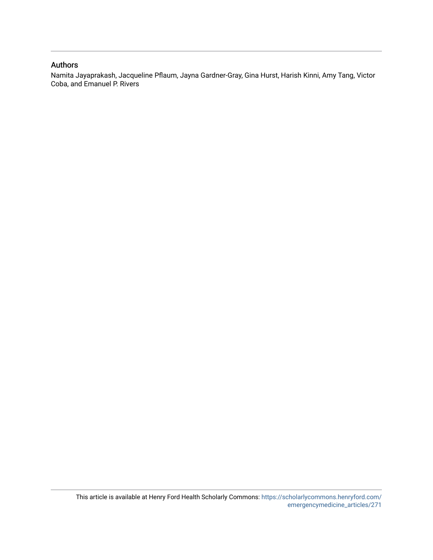#### Authors

Namita Jayaprakash, Jacqueline Pflaum, Jayna Gardner-Gray, Gina Hurst, Harish Kinni, Amy Tang, Victor Coba, and Emanuel P. Rivers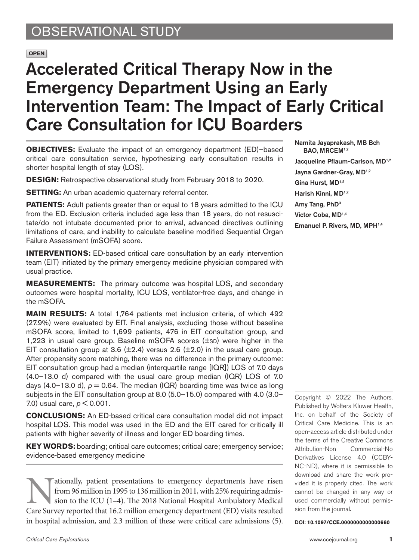# OBSERVATIONAL STUDY

#### **OPEN**

# Accelerated Critical Therapy Now in the Emergency Department Using an Early Intervention Team: The Impact of Early Critical Care Consultation for ICU Boarders

**OBJECTIVES:** Evaluate the impact of an emergency department (ED)–based critical care consultation service, hypothesizing early consultation results in shorter hospital length of stay (LOS).

**DESIGN:** Retrospective observational study from February 2018 to 2020.

**SETTING:** An urban academic quaternary referral center.

**PATIENTS:** Adult patients greater than or equal to 18 years admitted to the ICU from the ED. Exclusion criteria included age less than 18 years, do not resuscitate/do not intubate documented prior to arrival, advanced directives outlining limitations of care, and inability to calculate baseline modified Sequential Organ Failure Assessment (mSOFA) score.

**INTERVENTIONS:** ED-based critical care consultation by an early intervention team (EIT) initiated by the primary emergency medicine physician compared with usual practice.

**MEASUREMENTS:** The primary outcome was hospital LOS, and secondary outcomes were hospital mortality, ICU LOS, ventilator-free days, and change in the mSOFA.

**MAIN RESULTS:** A total 1,764 patients met inclusion criteria, of which 492 (27.9%) were evaluated by EIT. Final analysis, excluding those without baseline mSOFA score, limited to 1,699 patients, 476 in EIT consultation group, and 1,223 in usual care group. Baseline mSOFA scores  $(\pm s_D)$  were higher in the EIT consultation group at 3.6  $(\pm 2.4)$  versus 2.6  $(\pm 2.0)$  in the usual care group. After propensity score matching, there was no difference in the primary outcome: EIT consultation group had a median (interquartile range [IQR]) LOS of 7.0 days (4.0–13.0 d) compared with the usual care group median (IQR) LOS of 7.0 days  $(4.0-13.0 \text{ d})$ ,  $p = 0.64$ . The median  $(IQR)$  boarding time was twice as long subjects in the EIT consultation group at 8.0 (5.0–15.0) compared with 4.0 (3.0– 7.0) usual care, *p* < 0.001.

**CONCLUSIONS:** An ED-based critical care consultation model did not impact hospital LOS. This model was used in the ED and the EIT cared for critically ill patients with higher severity of illness and longer ED boarding times.

**KEY WORDS:** boarding; critical care outcomes; critical care; emergency service; evidence-based emergency medicine

ationally, patient presentations to emergency departments have risen<br>from 96 million in 1995 to 136 million in 2011, with 25% requiring admis-<br>sion to the ICU (1–4). The 2018 National Hospital Ambulatory Medical<br>Care Surve from 96 million in 1995 to 136 million in 2011, with 25% requiring admission to the ICU (1–4). The 2018 National Hospital Ambulatory Medical Care Survey reported that 16.2 million emergency department (ED) visits resulted in hospital admission, and 2.3 million of these were critical care admissions (5).

Namita Jayaprakash, MB Bch BAO, MRCEM<sup>1,2</sup> Jacqueline Pflaum-Carlson, MD<sup>1,2</sup> Jayna Gardner-Gray, MD<sup>1,2</sup> Gina Hurst, MD<sup>1,2</sup> Harish Kinni, MD<sup>1,2</sup> Amy Tang, PhD3 Victor Coba, MD1,4 Emanuel P. Rivers, MD, MPH<sup>1,4</sup>

Copyright © 2022 The Authors. Published by Wolters Kluwer Health, Inc. on behalf of the Society of Critical Care Medicine. This is an open-access article distributed under the terms of the [Creative Commons](http://creativecommons.org/licenses/by-nc-nd/4.0/) [Attribution-Non Commercial-No](http://creativecommons.org/licenses/by-nc-nd/4.0/) [Derivatives License 4.0 \(CCBY-](http://creativecommons.org/licenses/by-nc-nd/4.0/)[NC-ND\),](http://creativecommons.org/licenses/by-nc-nd/4.0/) where it is permissible to download and share the work provided it is properly cited. The work cannot be changed in any way or used commercially without permission from the journal.

DOI: **10.1097/CCE.0000000000000660**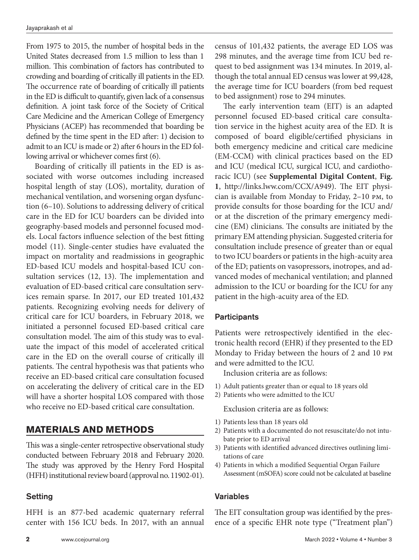From 1975 to 2015, the number of hospital beds in the United States decreased from 1.5 million to less than 1 million. This combination of factors has contributed to crowding and boarding of critically ill patients in the ED. The occurrence rate of boarding of critically ill patients in the ED is difficult to quantify, given lack of a consensus definition. A joint task force of the Society of Critical Care Medicine and the American College of Emergency Physicians (ACEP) has recommended that boarding be defined by the time spent in the ED after: 1) decision to admit to an ICU is made or 2) after 6 hours in the ED following arrival or whichever comes first (6).

Boarding of critically ill patients in the ED is associated with worse outcomes including increased hospital length of stay (LOS), mortality, duration of mechanical ventilation, and worsening organ dysfunction (6–10). Solutions to addressing delivery of critical care in the ED for ICU boarders can be divided into geography-based models and personnel focused models. Local factors influence selection of the best fitting model (11). Single-center studies have evaluated the impact on mortality and readmissions in geographic ED-based ICU models and hospital-based ICU consultation services (12, 13). The implementation and evaluation of ED-based critical care consultation services remain sparse. In 2017, our ED treated 101,432 patients. Recognizing evolving needs for delivery of critical care for ICU boarders, in February 2018, we initiated a personnel focused ED-based critical care consultation model. The aim of this study was to evaluate the impact of this model of accelerated critical care in the ED on the overall course of critically ill patients. The central hypothesis was that patients who receive an ED-based critical care consultation focused on accelerating the delivery of critical care in the ED will have a shorter hospital LOS compared with those who receive no ED-based critical care consultation.

### **MATERIALS AND METHODS**

This was a single-center retrospective observational study conducted between February 2018 and February 2020. The study was approved by the Henry Ford Hospital (HFH) institutional review board (approval no. 11902-01).

#### Setting

HFH is an 877-bed academic quaternary referral center with 156 ICU beds. In 2017, with an annual census of 101,432 patients, the average ED LOS was 298 minutes, and the average time from ICU bed request to bed assignment was 134 minutes. In 2019, although the total annual ED census was lower at 99,428, the average time for ICU boarders (from bed request to bed assignment) rose to 294 minutes.

The early intervention team (EIT) is an adapted personnel focused ED-based critical care consultation service in the highest acuity area of the ED. It is composed of board eligible/certified physicians in both emergency medicine and critical care medicine (EM-CCM) with clinical practices based on the ED and ICU (medical ICU, surgical ICU, and cardiothoracic ICU) (see **Supplemental Digital Content**, **Fig. 1**, [http://links.lww.com/CCX/A949\)](http://links.lww.com/CCX/A949). The EIT physician is available from Monday to Friday, 2–10 pm, to provide consults for those boarding for the ICU and/ or at the discretion of the primary emergency medicine (EM) clinicians. The consults are initiated by the primary EM attending physician. Suggested criteria for consultation include presence of greater than or equal to two ICU boarders or patients in the high-acuity area of the ED; patients on vasopressors, inotropes, and advanced modes of mechanical ventilation; and planned admission to the ICU or boarding for the ICU for any patient in the high-acuity area of the ED.

#### **Participants**

Patients were retrospectively identified in the electronic health record (EHR) if they presented to the ED Monday to Friday between the hours of 2 and 10 pm and were admitted to the ICU.

Inclusion criteria are as follows:

- 1) Adult patients greater than or equal to 18 years old
- 2) Patients who were admitted to the ICU

Exclusion criteria are as follows:

- 1) Patients less than 18 years old
- 2) Patients with a documented do not resuscitate/do not intubate prior to ED arrival
- 3) Patients with identified advanced directives outlining limitations of care
- 4) Patients in which a modified Sequential Organ Failure Assessment (mSOFA) score could not be calculated at baseline

#### Variables

The EIT consultation group was identified by the presence of a specific EHR note type ("Treatment plan")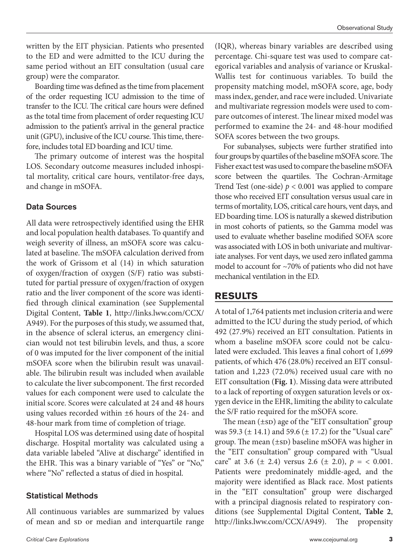written by the EIT physician. Patients who presented to the ED and were admitted to the ICU during the same period without an EIT consultation (usual care group) were the comparator.

Boarding time was defined as the time from placement of the order requesting ICU admission to the time of transfer to the ICU. The critical care hours were defined as the total time from placement of order requesting ICU admission to the patient's arrival in the general practice unit (GPU), inclusive of the ICU course. This time, therefore, includes total ED boarding and ICU time.

The primary outcome of interest was the hospital LOS. Secondary outcome measures included inhospital mortality, critical care hours, ventilator-free days, and change in mSOFA.

#### Data Sources

All data were retrospectively identified using the EHR and local population health databases. To quantify and weigh severity of illness, an mSOFA score was calculated at baseline. The mSOFA calculation derived from the work of Grissom et al (14) in which saturation of oxygen/fraction of oxygen (S/F) ratio was substituted for partial pressure of oxygen/fraction of oxygen ratio and the liver component of the score was identified through clinical examination (see Supplemental Digital Content, **Table 1**, [http://links.lww.com/CCX/](http://links.lww.com/CCX/A949) [A949](http://links.lww.com/CCX/A949)). For the purposes of this study, we assumed that, in the absence of scleral icterus, an emergency clinician would not test bilirubin levels, and thus, a score of 0 was imputed for the liver component of the initial mSOFA score when the bilirubin result was unavailable. The bilirubin result was included when available to calculate the liver subcomponent. The first recorded values for each component were used to calculate the initial score. Scores were calculated at 24 and 48 hours using values recorded within ±6 hours of the 24- and 48-hour mark from time of completion of triage.

Hospital LOS was determined using date of hospital discharge. Hospital mortality was calculated using a data variable labeled "Alive at discharge" identified in the EHR. This was a binary variable of "Yes" or "No," where "No" reflected a status of died in hospital.

#### Statistical Methods

All continuous variables are summarized by values of mean and sp or median and interquartile range

(IQR), whereas binary variables are described using percentage. Chi-square test was used to compare categorical variables and analysis of variance or Kruskal-Wallis test for continuous variables. To build the propensity matching model, mSOFA score, age, body mass index, gender, and race were included. Univariate and multivariate regression models were used to compare outcomes of interest. The linear mixed model was performed to examine the 24- and 48-hour modified SOFA scores between the two groups.

For subanalyses, subjects were further stratified into four groups by quartiles of the baseline mSOFA score. The Fisher exact test was used to compare the baseline mSOFA score between the quartiles. The Cochran-Armitage Trend Test (one-side)  $p < 0.001$  was applied to compare those who received EIT consultation versus usual care in terms of mortality, LOS, critical care hours, vent days, and ED boarding time. LOS is naturally a skewed distribution in most cohorts of patients, so the Gamma model was used to evaluate whether baseline modified SOFA score was associated with LOS in both univariate and multivariate analyses. For vent days, we used zero inflated gamma model to account for ~70% of patients who did not have mechanical ventilation in the ED.

# **RESULTS**

A total of 1,764 patients met inclusion criteria and were admitted to the ICU during the study period, of which 492 (27.9%) received an EIT consultation. Patients in whom a baseline mSOFA score could not be calculated were excluded. This leaves a final cohort of 1,699 patients, of which 476 (28.0%) received an EIT consultation and 1,223 (72.0%) received usual care with no EIT consultation (**Fig. 1**). Missing data were attributed to a lack of reporting of oxygen saturation levels or oxygen device in the EHR, limiting the ability to calculate the S/F ratio required for the mSOFA score.

The mean  $(\pm s_D)$  age of the "EIT consultation" group was 59.3 ( $\pm$  14.1) and 59.6 ( $\pm$  17.2) for the "Usual care" group. The mean  $(\pm s_D)$  baseline mSOFA was higher in the "EIT consultation" group compared with "Usual care" at 3.6 ( $\pm$  2.4) versus 2.6 ( $\pm$  2.0),  $p = < 0.001$ . Patients were predominately middle-aged, and the majority were identified as Black race. Most patients in the "EIT consultation" group were discharged with a principal diagnosis related to respiratory conditions (see Supplemental Digital Content, **Table 2**, <http://links.lww.com/CCX/A949>). The propensity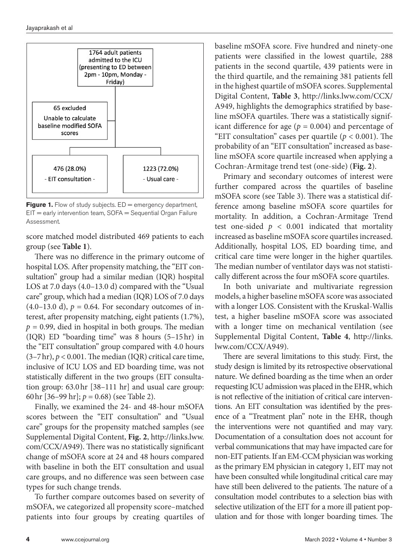

Figure 1. Flow of study subjects. ED = emergency department, EIT = early intervention team, SOFA = Sequential Organ Failure Assessment.

score matched model distributed 469 patients to each group (see **Table 1**).

There was no difference in the primary outcome of hospital LOS. After propensity matching, the "EIT consultation" group had a similar median (IQR) hospital LOS at 7.0 days (4.0–13.0 d) compared with the "Usual care" group, which had a median (IQR) LOS of 7.0 days  $(4.0-13.0 \text{ d})$ ,  $p = 0.64$ . For secondary outcomes of interest, after propensity matching, eight patients (1.7%),  $p = 0.99$ , died in hospital in both groups. The median (IQR) ED "boarding time" was 8 hours (5–15hr) in the "EIT consultation" group compared with 4.0 hours  $(3-7\,\text{hr})$ ,  $p < 0.001$ . The median (IQR) critical care time, inclusive of ICU LOS and ED boarding time, was not statistically different in the two groups (EIT consultation group: 63.0hr [38–111 hr] and usual care group: 60hr [36–99 hr]; *p* = 0.68) (see Table 2).

Finally, we examined the 24- and 48-hour mSOFA scores between the "EIT consultation" and "Usual care" groups for the propensity matched samples (see Supplemental Digital Content, **Fig. 2**, [http://links.lww.](http://links.lww.com/CCX/A949) [com/CCX/A949\)](http://links.lww.com/CCX/A949). There was no statistically significant change of mSOFA score at 24 and 48 hours compared with baseline in both the EIT consultation and usual care groups, and no difference was seen between case types for such change trends.

To further compare outcomes based on severity of mSOFA, we categorized all propensity score–matched patients into four groups by creating quartiles of baseline mSOFA score. Five hundred and ninety-one patients were classified in the lowest quartile, 288 patients in the second quartile, 439 patients were in the third quartile, and the remaining 381 patients fell in the highest quartile of mSOFA scores. Supplemental Digital Content, **Table 3**, [http://links.lww.com/CCX/](http://links.lww.com/CCX/A949) [A949,](http://links.lww.com/CCX/A949) highlights the demographics stratified by baseline mSOFA quartiles. There was a statistically significant difference for age ( $p = 0.004$ ) and percentage of "EIT consultation" cases per quartile ( $p < 0.001$ ). The probability of an "EIT consultation" increased as baseline mSOFA score quartile increased when applying a Cochran-Armitage trend test (one-side) (**Fig. 2**).

Primary and secondary outcomes of interest were further compared across the quartiles of baseline mSOFA score (see Table 3). There was a statistical difference among baseline mSOFA score quartiles for mortality. In addition, a Cochran-Armitage Trend test one-sided  $p < 0.001$  indicated that mortality increased as baseline mSOFA score quartiles increased. Additionally, hospital LOS, ED boarding time, and critical care time were longer in the higher quartiles. The median number of ventilator days was not statistically different across the four mSOFA score quartiles.

In both univariate and multivariate regression models, a higher baseline mSOFA score was associated with a longer LOS. Consistent with the Kruskal-Wallis test, a higher baseline mSOFA score was associated with a longer time on mechanical ventilation (see Supplemental Digital Content, **Table 4**, [http://links.](http://links.lww.com/CCX/A949) [lww.com/CCX/A949](http://links.lww.com/CCX/A949)).

There are several limitations to this study. First, the study design is limited by its retrospective observational nature. We defined boarding as the time when an order requesting ICU admission was placed in the EHR, which is not reflective of the initiation of critical care interventions. An EIT consultation was identified by the presence of a "Treatment plan" note in the EHR, though the interventions were not quantified and may vary. Documentation of a consultation does not account for verbal communications that may have impacted care for non-EIT patients. If an EM-CCM physician was working as the primary EM physician in category 1, EIT may not have been consulted while longitudinal critical care may have still been delivered to the patients. The nature of a consultation model contributes to a selection bias with selective utilization of the EIT for a more ill patient population and for those with longer boarding times. The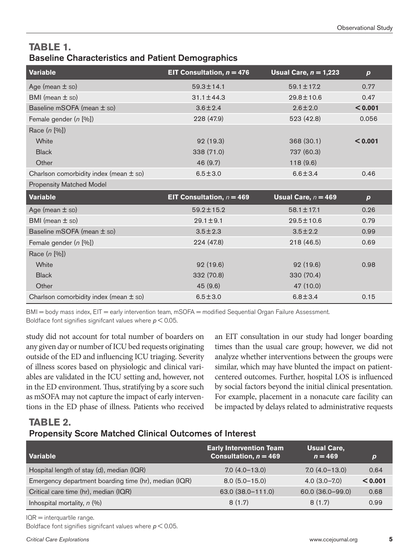# **TABLE 1.**  Baseline Characteristics and Patient Demographics

| <b>Variable</b>                            | EIT Consultation, $n = 476$ | Usual Care, $n = 1,223$ | $\boldsymbol{p}$ |
|--------------------------------------------|-----------------------------|-------------------------|------------------|
| Age (mean $\pm$ sp)                        | $59.3 \pm 14.1$             | $59.1 \pm 17.2$         | 0.77             |
| BMI (mean $\pm$ sp)                        | $31.1 \pm 44.3$             | 29.8±10.6               | 0.47             |
| Baseline mSOFA (mean ± sD)                 | $3.6 \pm 2.4$               | $2.6 \pm 2.0$           | < 0.001          |
| Female gender (n [%])                      | 228 (47.9)                  | 523 (42.8)              | 0.056            |
| Race (n [%])                               |                             |                         |                  |
| White                                      | 92 (19.3)                   | 368(30.1)               | < 0.001          |
| <b>Black</b>                               | 338 (71.0)                  | 737 (60.3)              |                  |
| Other                                      | 46 (9.7)                    | 118(9.6)                |                  |
| Charlson comorbidity index (mean $\pm$ sp) | $6.5 \pm 3.0$               | $6.6 \pm 3.4$           | 0.46             |
| <b>Propensity Matched Model</b>            |                             |                         |                  |
| <b>Variable</b>                            | EIT Consultation, $n = 469$ | Usual Care, $n = 469$   | $\boldsymbol{p}$ |
| Age (mean $\pm$ sp)                        | $59.2 \pm 15.2$             | $58.1 \pm 17.1$         | 0.26             |
| BMI (mean $\pm$ sp)                        | $29.1 \pm 9.1$              | $29.5 \pm 10.6$         | 0.79             |
| Baseline mSOFA (mean ± sD)                 | $3.5 \pm 2.3$               | $3.5 \pm 2.2$           | 0.99             |
| Female gender (n [%])                      | 224 (47.8)                  | 218 (46.5)              | 0.69             |
| Race (n [%])                               |                             |                         |                  |
| White                                      | 92(19.6)                    | 92(19.6)                | 0.98             |
| <b>Black</b>                               | 332 (70.8)                  | 330 (70.4)              |                  |
| Other                                      | 45 (9.6)                    | 47 (10.0)               |                  |
| Charlson comorbidity index (mean $\pm$ sD) | $6.5 \pm 3.0$               | $6.8 \pm 3.4$           | 0.15             |

BMI = body mass index, EIT = early intervention team, mSOFA = modified Sequential Organ Failure Assessment. Boldface font signifies signifcant values where *p* < 0.05.

study did not account for total number of boarders on any given day or number of ICU bed requests originating outside of the ED and influencing ICU triaging. Severity of illness scores based on physiologic and clinical variables are validated in the ICU setting and, however, not in the ED environment. Thus, stratifying by a score such as mSOFA may not capture the impact of early interventions in the ED phase of illness. Patients who received an EIT consultation in our study had longer boarding times than the usual care group; however, we did not analyze whether interventions between the groups were similar, which may have blunted the impact on patientcentered outcomes. Further, hospital LOS is influenced by social factors beyond the initial clinical presentation. For example, placement in a nonacute care facility can be impacted by delays related to administrative requests

### **TABLE 2.**  Propensity Score Matched Clinical Outcomes of Interest

| Variable                                              | <b>Early Intervention Team</b><br>Consultation, $n = 469$ | <b>Usual Care.</b><br>$n = 469$ | D       |
|-------------------------------------------------------|-----------------------------------------------------------|---------------------------------|---------|
| Hospital length of stay (d), median (IQR)             | $7.0(4.0-13.0)$                                           | $7.0(4.0-13.0)$                 | 0.64    |
| Emergency department boarding time (hr), median (IQR) | $8.0(5.0-15.0)$                                           | $4.0(3.0 - 7.0)$                | < 0.001 |
| Critical care time (hr), median (IQR)                 | 63.0 (38.0-111.0)                                         | 60.0 (36.0-99.0)                | 0.68    |
| Inhospital mortality, $n$ (%)                         | 8(1.7)                                                    | 8(1.7)                          | 0.99    |

IQR = interquartile range.

Boldface font signifies signifcant values where *p* < 0.05.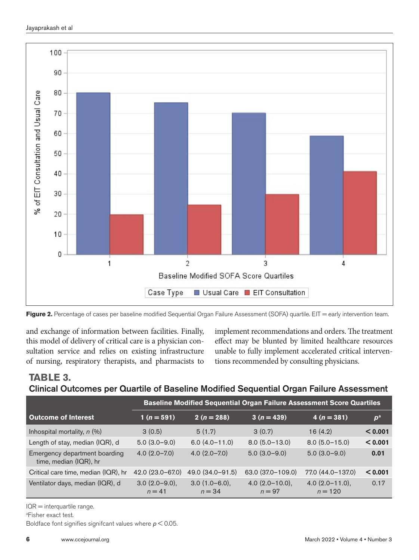



and exchange of information between facilities. Finally, this model of delivery of critical care is a physician consultation service and relies on existing infrastructure of nursing, respiratory therapists, and pharmacists to implement recommendations and orders. The treatment effect may be blunted by limited healthcare resources unable to fully implement accelerated critical interventions recommended by consulting physicians.

# **TABLE 3.**  Clinical Outcomes per Quartile of Baseline Modified Sequential Organ Failure Assessment

|                                                         | <b>Baseline Modified Sequential Organ Failure Assessment Score Quartiles</b> |                              |                               |                                   |         |
|---------------------------------------------------------|------------------------------------------------------------------------------|------------------------------|-------------------------------|-----------------------------------|---------|
| <b>Outcome of Interest</b>                              | $1(n=591)$                                                                   | $2(n=288)$                   | $3(n=439)$                    | $4(n=381)$                        | $p^a$   |
| Inhospital mortality, $n$ (%)                           | 3(0.5)                                                                       | 5(1.7)                       | 3(0.7)                        | 16(4.2)                           | < 0.001 |
| Length of stay, median (IQR), d                         | $5.0(3.0-9.0)$                                                               | $6.0(4.0-11.0)$              | $8.0(5.0-13.0)$               | $8.0(5.0-15.0)$                   | < 0.001 |
| Emergency department boarding<br>time, median (IQR), hr | $4.0(2.0 - 7.0)$                                                             | $4.0(2.0 - 7.0)$             | $5.0(3.0-9.0)$                | $5.0(3.0-9.0)$                    | 0.01    |
| Critical care time, median (IQR), hr                    | 42.0 (23.0-67.0)                                                             | 49.0 (34.0-91.5)             | 63.0 (37.0-109.0)             | 77.0 (44.0-137.0)                 | < 0.001 |
| Ventilator days, median (IQR), d                        | $3.0(2.0-9.0)$ ,<br>$n = 41$                                                 | $3.0(1.0-6.0)$ ,<br>$n = 34$ | $4.0$ (2.0-10.0),<br>$n = 97$ | 4.0 $(2.0 - 11.0)$ ,<br>$n = 120$ | 0.17    |

IQR = interquartile range.

a Fisher exact test.

Boldface font signifies signifcant values where *p* < 0.05.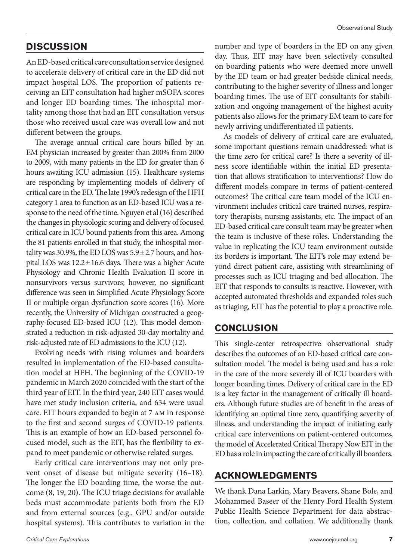# **DISCUSSION**

An ED-based critical care consultation service designed to accelerate delivery of critical care in the ED did not impact hospital LOS. The proportion of patients receiving an EIT consultation had higher mSOFA scores and longer ED boarding times. The inhospital mortality among those that had an EIT consultation versus those who received usual care was overall low and not different between the groups.

The average annual critical care hours billed by an EM physician increased by greater than 200% from 2000 to 2009, with many patients in the ED for greater than 6 hours awaiting ICU admission (15). Healthcare systems are responding by implementing models of delivery of critical care in the ED. The late 1990's redesign of the HFH category 1 area to function as an ED-based ICU was a response to the need of the time. Nguyen et al (16) described the changes in physiologic scoring and delivery of focused critical care in ICU bound patients from this area. Among the 81 patients enrolled in that study, the inhospital mortality was 30.9%, the ED LOS was  $5.9 \pm 2.7$  hours, and hospital LOS was  $12.2 \pm 16.6$  days. There was a higher Acute Physiology and Chronic Health Evaluation II score in nonsurvivors versus survivors; however, no significant difference was seen in Simplified Acute Physiology Score II or multiple organ dysfunction score scores (16). More recently, the University of Michigan constructed a geography-focused ED-based ICU (12). This model demonstrated a reduction in risk-adjusted 30-day mortality and risk-adjusted rate of ED admissions to the ICU (12).

Evolving needs with rising volumes and boarders resulted in implementation of the ED-based consultation model at HFH. The beginning of the COVID-19 pandemic in March 2020 coincided with the start of the third year of EIT. In the third year, 240 EIT cases would have met study inclusion criteria, and 634 were usual care. EIT hours expanded to begin at 7 am in response to the first and second surges of COVID-19 patients. This is an example of how an ED-based personnel focused model, such as the EIT, has the flexibility to expand to meet pandemic or otherwise related surges.

Early critical care interventions may not only prevent onset of disease but mitigate severity (16–18). The longer the ED boarding time, the worse the outcome (8, 19, 20). The ICU triage decisions for available beds must accommodate patients both from the ED and from external sources (e.g., GPU and/or outside hospital systems). This contributes to variation in the

number and type of boarders in the ED on any given day. Thus, EIT may have been selectively consulted on boarding patients who were deemed more unwell by the ED team or had greater bedside clinical needs, contributing to the higher severity of illness and longer boarding times. The use of EIT consultants for stabilization and ongoing management of the highest acuity patients also allows for the primary EM team to care for newly arriving undifferentiated ill patients.

As models of delivery of critical care are evaluated, some important questions remain unaddressed: what is the time zero for critical care? Is there a severity of illness score identifiable within the initial ED presentation that allows stratification to interventions? How do different models compare in terms of patient-centered outcomes? The critical care team model of the ICU environment includes critical care trained nurses, respiratory therapists, nursing assistants, etc. The impact of an ED-based critical care consult team may be greater when the team is inclusive of these roles. Understanding the value in replicating the ICU team environment outside its borders is important. The EIT's role may extend beyond direct patient care, assisting with streamlining of processes such as ICU triaging and bed allocation. The EIT that responds to consults is reactive. However, with accepted automated thresholds and expanded roles such as triaging, EIT has the potential to play a proactive role.

### **CONCLUSION**

This single-center retrospective observational study describes the outcomes of an ED-based critical care consultation model. The model is being used and has a role in the care of the more severely ill of ICU boarders with longer boarding times. Delivery of critical care in the ED is a key factor in the management of critically ill boarders. Although future studies are of benefit in the areas of identifying an optimal time zero, quantifying severity of illness, and understanding the impact of initiating early critical care interventions on patient-centered outcomes, the model of Accelerated Critical Therapy Now EIT in the ED has a role in impacting the care of critically ill boarders.

### **ACKNOWLEDGMENTS**

We thank Dana Larkin, Mary Beavers, Shane Bole, and Mohammed Baseer of the Henry Ford Health System Public Health Science Department for data abstraction, collection, and collation. We additionally thank